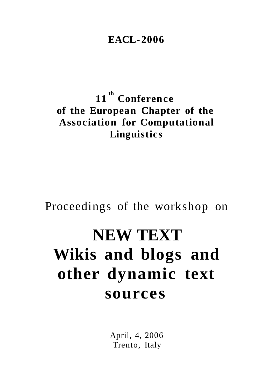# **EACL-2006**

11<sup>th</sup> Conference of the European Chapter of the **Association for Computational** Linguistics

# Proceedings of the workshop on

# **NEW TEXT** Wikis and blogs and other dynamic text sources

April, 4, 2006 Trento, Italy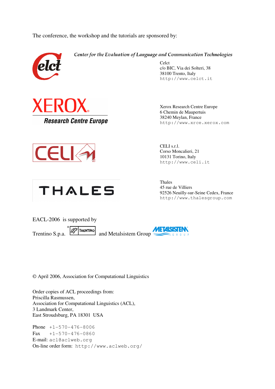The conference, the workshop and the tutorials are sponsored by:



Center for the Evaluation of Language and Communication Technologies

Celct c/o BIC, Via dei Solteri, 38 38100 Trento, Italy http://www.celct.it







Xerox Research Centre Europe 6 Chemin de Maupertuis 38240 Meylan, France http://www.xrce.xerox.com

CELI s.r.l. Corso Moncalieri, 21 10131 Torino, Italy http://www.celi.it

Thales 45 rue de Villiers 92526 Neuilly-sur-Seine Cedex, France http://www.thalesgroup.com



© April 2006, Association for Computational Linguistics

Order copies of ACL proceedings from: Priscilla Rasmussen, Association for Computational Linguistics (ACL), 3 Landmark Center, East Stroudsburg, PA 18301 USA

Phone +1-570-476-8006  $Fax +1-570-476-0860$ E-mail: acl@aclweb.org On-line order form: http://www.aclweb.org/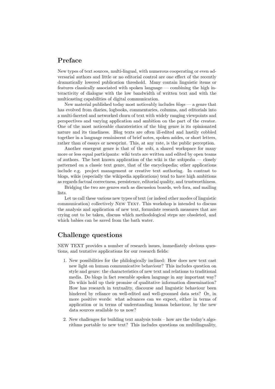#### Preface

New types of text sources, multi-lingual, with numerous cooperating or even adversarial authors and little or no editorial control are one effect of the recently dramatically lowered publication threshold. Many contain linguistic items or features classically associated with spoken language — combining the high interactivity of dialogue with the low bandwidth of written text and with the multicasting capabilities of digital communication.

New material published today most noticeably includes  $b\log \frac{m}{n}$  a genre that has evolved from diaries, logbooks, commentaries, columns, and editorials into a multi-faceted and networked churn of text with widely ranging viewpoints and perspectives and varying application and ambition on the part of the creator. One of the most noticeable charateristics of the blog genre is its opinionated nature and its timeliness. Blog texts are often ill-edited and hastily cobbled together in a language reminiscent of brief notes, spoken asides, or short letters, rather than of essays or newsprint. This, at any rate, is the public perception.

Another emergent genre is that of the wiki, a shared workspace for many more or less equal participants: wiki texts are written and edited by open teams of authors. The best known application of the wiki is the *wikipedia* — closely patterned on a classic text genre, that of the encyclopedia; other applications include e.g. project management or creative text authoring. In contrast to blogs, wikis (especially the wikipedia applications) tend to have high ambitions as regards factual correctness, persistence, editorial quality, and trustworthiness.

Bridging the two are genres such as discussion boards, web fora, and mailing lists.

Let us call these various new types of text (or indeed other modes of linguistic communication) collectively NEW TEXT. This workshop is intended to discuss the analysis and application of new text, formulate research measures that are crying out to be taken, discuss which methodological steps are obsoleted, and which babies can be saved from the bath water.

#### Challenge questions

NEW TEXT provides a number of research issues, immediately obvious questions, and tentative applications for our research fields:

- 1. New possibilities for the philologically inclined: How does new text cast new light on human communicative behaviour? This includes question on style and genre: the characteristics of new text and relations to traditional media. Do blogs in fact resemble spoken language in any important way? Do wikis hold up their promise of qualitative information dissemination? How has research in textuality, discourse and linguistic behaviour been hindered by reliance on well-edited and well-groomed data sets? Or, in more positive words: what advances can we expect, either in terms of application or in terms of understanding human behaviour, by the new data sources available to us now?
- 2. New challenges for building text analysis tools how are the today's algorithms portable to new text? This includes questions on multilinguality,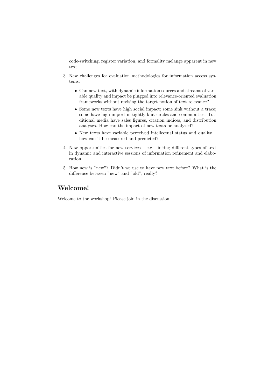code-switching, register variation, and formality melange apparent in new text.

- 3. New challenges for evaluation methodologies for information access systems:
	- Can new text, with dynamic information sources and streams of variable quality and impact be plugged into relevance-oriented evaluation frameworks without revising the target notion of text relevance?
	- Some new texts have high social impact; some sink without a trace: some have high import in tightly knit circles and communities. Traditional media have sales figures, citation indices, and distribution analyses. How can the impact of new texts be analyzed?
	- $\bullet$  New texts have variable perceived intellectual status and quality  $$ how can it be measured and predicted?
- 4. New opportunities for new services e.g. linking different types of text in dynamic and interactive sessions of information refinement and elaboration.
- 5. How new is "new"? Didn't we use to have new text before? What is the difference between "new" and "old", really?

#### Welcome!

Welcome to the workshop! Please join in the discussion!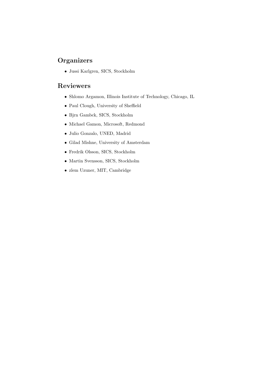## **Organizers**

• Jussi Karlgren, SICS, Stockholm

### Reviewers

- Shlomo Argamon, Illinois Institute of Technology, Chicago, IL
- Paul Clough, University of Sheffield
- Bjrn Gambck, SICS, Stockholm
- Michael Gamon, Microsoft, Redmond
- Julio Gonzalo, UNED, Madrid
- Gilad Mishne, University of Amsterdam
- Fredrik Olsson, SICS, Stockholm
- Martin Svensson, SICS, Stockholm
- zlem Uzuner, MIT, Cambridge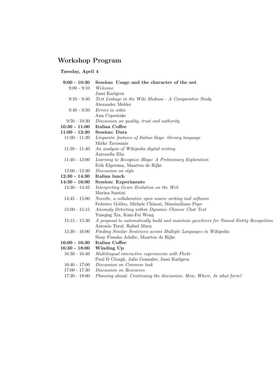# Workshop Program

## Tuesday, April 4

| $9:00 - 10:30$  | Session: Usage and the character of the net                                            |
|-----------------|----------------------------------------------------------------------------------------|
| $9:00 - 9:10$   | Welcome                                                                                |
|                 | Jussi Karlgren                                                                         |
| $9:10 - 9:40$   | Text Linkage in the Wiki Medium - A Comparative Study                                  |
|                 | Alexander Mehler                                                                       |
| $9:40 - 9:50$   | Errors in wikis                                                                        |
|                 | Ann Copestake                                                                          |
| $9:50 - 10:30$  | Discussion on quality, trust and authority                                             |
| $10:30 - 11:00$ | <b>Italian Coffee</b>                                                                  |
| $11:00 - 12:30$ | Session: Data                                                                          |
| $11:00 - 11:20$ | Linguistic features of Italian blogs: literary language                                |
|                 | Mirko Tavosanis                                                                        |
| $11:20 - 11:40$ | An analysis of Wikipedia digital writing                                               |
|                 | Antonella Elia                                                                         |
| $11:40 - 12:00$ | Learning to Recognize Blogs: A Preliminary Exploration                                 |
|                 | Erik Elgersma, Maarten de Rijke                                                        |
| $12:00 - 12:30$ | Discussion on style                                                                    |
| $12:30 - 14:30$ | Italian lunch                                                                          |
| $14:30 - 16:00$ | <b>Session: Experiments</b>                                                            |
| $14:30 - 14:45$ | Interpreting Genre Evolution on the Web                                                |
|                 | Marina Santini                                                                         |
| $14:45 - 15:00$ | Novelle, a collaborative open source writing tool software                             |
|                 | Federico Gobbo, Michele Chinosi, Massimiliano Pepe                                     |
| $15:00 - 15:15$ | Anomaly Detecting within Dynamic Chinese Chat Text                                     |
|                 | Yunqing Xia, Kam-Fai Wong                                                              |
| $15:15 - 15:30$ | A proposal to automatically build and maintain gazetteers for Named Entity Recognition |
|                 | Antonio Toral, Rafael Muoz                                                             |
| $15:30 - 16:00$ | Finding Similar Sentences across Multiple Languages in Wikipedia                       |
|                 | Sisay Fissaha Adafre, Maarten de Rijke                                                 |
| $16:00 - 16:30$ | Italian Coffee                                                                         |
| $16:30 - 18:00$ | Winding Up                                                                             |
| $16:30 - 16:40$ | Multilingual interactive experiments with Flickr                                       |
| $16:40 - 17:00$ | Paul D Clough, Julio Gonzales, Jussi Karlgren<br>Discussion on Common task             |
|                 | Discussion on Resources                                                                |
| $17:00 - 17:30$ |                                                                                        |
| $17:30 - 18:00$ | Planning ahead: Continuing the discussion: How, Where, In what form?                   |